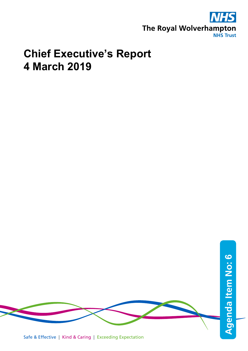

## **Chief Executive's Report 4 March 2019**

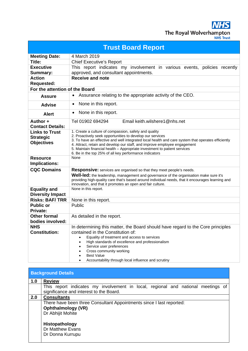**NHS** The Royal Wolverhampton

| <b>Trust Board Report</b>      |                                                                                                                                                                                             |  |  |
|--------------------------------|---------------------------------------------------------------------------------------------------------------------------------------------------------------------------------------------|--|--|
| <b>Meeting Date:</b>           | 4 March 2019                                                                                                                                                                                |  |  |
| Title:                         | <b>Chief Executive's Report</b>                                                                                                                                                             |  |  |
| <b>Executive</b>               | This report indicates my involvement in various events, policies recently                                                                                                                   |  |  |
| <b>Summary:</b>                | approved, and consultant appointments.                                                                                                                                                      |  |  |
| <b>Action</b>                  | <b>Receive and note</b>                                                                                                                                                                     |  |  |
| <b>Requested:</b>              |                                                                                                                                                                                             |  |  |
| For the attention of the Board |                                                                                                                                                                                             |  |  |
| <b>Assure</b>                  | Assurance relating to the appropriate activity of the CEO.<br>$\bullet$                                                                                                                     |  |  |
| <b>Advise</b>                  | None in this report.<br>$\bullet$                                                                                                                                                           |  |  |
| <b>Alert</b>                   | None in this report.<br>$\bullet$                                                                                                                                                           |  |  |
| Author +                       | Email keith.wilshere1@nhs.net<br>Tel 01902 694294                                                                                                                                           |  |  |
| <b>Contact Details:</b>        |                                                                                                                                                                                             |  |  |
| <b>Links to Trust</b>          | 1. Create a culture of compassion, safety and quality                                                                                                                                       |  |  |
| <b>Strategic</b>               | 2. Proactively seek opportunities to develop our services<br>3. To have an effective and well integrated local health and care system that operates efficiently                             |  |  |
| <b>Objectives</b>              | 4. Attract, retain and develop our staff, and improve employee engagement                                                                                                                   |  |  |
|                                | 5. Maintain financial health - Appropriate investment to patient services                                                                                                                   |  |  |
|                                | 6. Be in the top 25% of all key performance indicators<br>None                                                                                                                              |  |  |
| <b>Resource</b>                |                                                                                                                                                                                             |  |  |
| Implications:                  |                                                                                                                                                                                             |  |  |
| <b>CQC Domains</b>             | <b>Responsive:</b> services are organised so that they meet people's needs.                                                                                                                 |  |  |
|                                | Well-led: the leadership, management and governance of the organisation make sure it's<br>providing high-quality care that's based around individual needs, that it encourages learning and |  |  |
|                                | innovation, and that it promotes an open and fair culture.                                                                                                                                  |  |  |
| <b>Equality and</b>            | None in this report.                                                                                                                                                                        |  |  |
| <b>Diversity Impact</b>        |                                                                                                                                                                                             |  |  |
| <b>Risks: BAF/TRR</b>          | None in this report.                                                                                                                                                                        |  |  |
| <b>Public or</b>               | Public                                                                                                                                                                                      |  |  |
| Private:                       |                                                                                                                                                                                             |  |  |
| <b>Other formal</b>            | As detailed in the report.                                                                                                                                                                  |  |  |
| bodies involved:               |                                                                                                                                                                                             |  |  |
| <b>NHS</b>                     | In determining this matter, the Board should have regard to the Core principles                                                                                                             |  |  |
| <b>Constitution:</b>           | contained in the Constitution of:                                                                                                                                                           |  |  |
|                                | Equality of treatment and access to services                                                                                                                                                |  |  |
|                                | High standards of excellence and professionalism<br>Service user preferences                                                                                                                |  |  |
|                                | Cross community working                                                                                                                                                                     |  |  |
|                                | <b>Best Value</b>                                                                                                                                                                           |  |  |
|                                | Accountability through local influence and scrutiny                                                                                                                                         |  |  |

| <b>Background Details</b> |                                                                                  |  |  |  |
|---------------------------|----------------------------------------------------------------------------------|--|--|--|
| 1.0                       | <b>Review</b>                                                                    |  |  |  |
|                           | This report indicates my involvement in local, regional and national meetings of |  |  |  |
|                           | significance and interest to the Board.                                          |  |  |  |
| 2.0                       | <b>Consultants</b>                                                               |  |  |  |
|                           | There have been three Consultant Appointments since I last reported:             |  |  |  |
|                           | <b>Ophthalmology (VR)</b>                                                        |  |  |  |
|                           | Dr Abhijit Mohite                                                                |  |  |  |
|                           |                                                                                  |  |  |  |
|                           | Histopathology                                                                   |  |  |  |
|                           | Dr Matthew Evans                                                                 |  |  |  |
|                           | Dr Donna Kurrupu                                                                 |  |  |  |
|                           |                                                                                  |  |  |  |